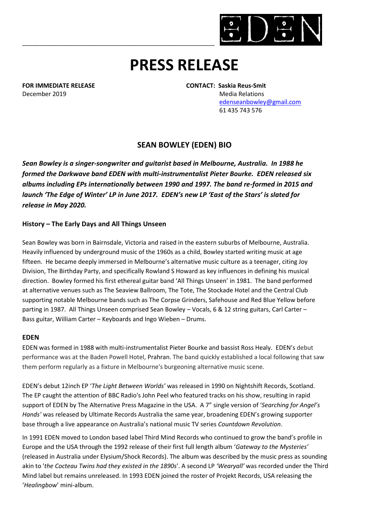

# **PRESS RELEASE**

December 2019 Media Relations

**FOR IMMEDIATE RELEASE CONTACT: Saskia Reus-Smit**

 [edenseanbowley@gmail.com](mailto:edenseanbowley@gmail.com) 61 435 743 576

# **SEAN BOWLEY (EDEN) BIO**

*Sean Bowley is a singer-songwriter and guitarist based in Melbourne, Australia. In 1988 he formed the Darkwave band EDEN with multi-instrumentalist Pieter Bourke. EDEN released six albums including EPs internationally between 1990 and 1997. The band re-formed in 2015 and launch 'The Edge of Winter' LP in June 2017. EDEN's new LP 'East of the Stars' is slated for release in May 2020.*

## **History – The Early Days and All Things Unseen**

Sean Bowley was born in Bairnsdale, Victoria and raised in the eastern suburbs of Melbourne, Australia. Heavily influenced by underground music of the 1960s as a child, Bowley started writing music at age fifteen. He became deeply immersed in Melbourne's alternative music culture as a teenager, citing Joy Division, The Birthday Party, and specifically Rowland S Howard as key influences in defining his musical direction. Bowley formed his first ethereal guitar band 'All Things Unseen' in 1981. The band performed at alternative venues such as The Seaview Ballroom, The Tote, The Stockade Hotel and the Central Club supporting notable Melbourne bands such as The Corpse Grinders, Safehouse and Red Blue Yellow before parting in 1987. All Things Unseen comprised Sean Bowley – Vocals, 6 & 12 string guitars, Carl Carter – Bass guitar, William Carter – Keyboards and Ingo Wieben – Drums.

## **EDEN**

EDEN was formed in 1988 with multi-instrumentalist Pieter Bourke and bassist Ross Healy. EDEN's debut performance was at the Baden Powell Hotel, [Prahran.](https://en.wikipedia.org/wiki/Prahran%2C_Victoria) The band quickly established a local following that saw them perform regularly as a fixture in Melbourne's burgeoning alternative music scene.

EDEN's debut 12inch EP '*The Light Between Worlds'* was released in 1990 on Nightshift Records, Scotland. The EP caught the attention of BBC Radio's John Peel who featured tracks on his show, resulting in rapid support of EDEN by The Alternative Press Magazine in the USA. A 7" single version of '*Searching for Angel's Hands'* was released by Ultimate Records Australia the same year, broadening EDEN's growing supporter base through a live appearance on Australia's national music TV series *Countdown Revolution*.

In 1991 EDEN moved to London based label Third Mind Records who continued to grow the band's profile in Europe and the USA through the 1992 release of their first full length album '*Gateway to the Mysteries'*  (released in Australia under Elysium/Shock Records). The album was described by the music press as sounding akin to '*the Cocteau Twins had they existed in the 1890s*'. A second LP *'Wearyall'* was recorded under the Third Mind label but remains unreleased. In 1993 EDEN joined the roster of Projekt Records, USA releasing the '*Healingbow*' mini-album.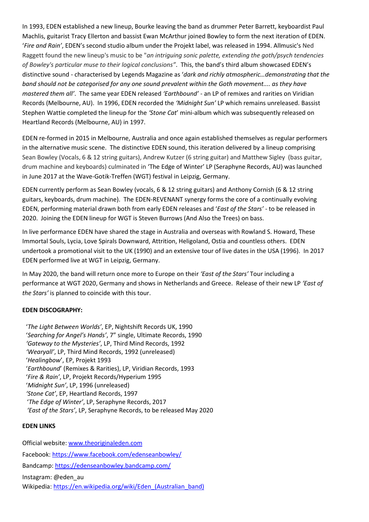In 1993, EDEN established a new lineup, Bourke leaving the band as drummer Peter Barrett, keyboardist Paul Machlis, guitarist Tracy Ellerton and bassist Ewan McArthur joined Bowley to form the next iteration of EDEN. '*Fire and Rain'*, EDEN's second studio album under the Projekt label, was released in 1994. [Allmusic's](https://en.wikipedia.org/wiki/Allmusic) Ned Raggett found the new lineup's music to be "*an intriguing sonic palette, extending the goth/psych tendencies of Bowley's particular muse to their logical conclusions"*. This, the band's third album showcased EDEN's distinctive sound - characterised by Legends Magazine as '*dark and richly atmospheric…demonstrating that the band should not be categorised for any one sound prevalent within the Goth movement.... as they have mastered them all'*. The same year EDEN released *'Earthbound'* - an LP of remixes and rarities on Viridian Records (Melbourne, AU). In 1996, EDEN recorded the *'Midnight Sun'* LP which remains unreleased. Bassist Stephen Wattie completed the lineup for the *'Stone Cat*' mini-album which was subsequently released on Heartland Records (Melbourne, AU) in 1997.

EDEN re-formed in 2015 in Melbourne, Australia and once again established themselves as regular performers in the alternative music scene. The distinctive EDEN sound, this iteration delivered by a lineup comprising Sean Bowley (Vocals, 6 & 12 string guitars), Andrew Kutzer (6 string guitar) and Matthew Sigley (bass guitar, drum machine and keyboards) culminated in 'The Edge of Winter' LP (Seraphyne Records, AU) was launched in June 2017 at the Wave-Gotik-Treffen (WGT) festival in Leipzig, Germany.

EDEN currently perform as Sean Bowley (vocals, 6 & 12 string guitars) and Anthony Cornish (6 & 12 string guitars, keyboards, drum machine). The EDEN-REVENANT synergy forms the core of a continually evolving EDEN, performing material drawn both from early EDEN releases and '*East of the Stars'* - to be released in 2020. Joining the EDEN lineup for WGT is Steven Burrows (And Also the Trees) on bass.

In live performance EDEN have shared the stage in Australia and overseas with Rowland S. Howard, These Immortal Souls, Lycia, Love Spirals Downward, Attrition, Heligoland, Ostia and countless others. EDEN undertook a promotional visit to the UK (1990) and an extensive tour of live dates in the USA (1996). In 2017 EDEN performed live at WGT in Leipzig, Germany.

In May 2020, the band will return once more to Europe on their *'East of the Stars'* Tour including a performance at WGT 2020, Germany and shows in Netherlands and Greece. Release of their new LP *'East of the Stars'* is planned to coincide with this tour.

#### **EDEN DISCOGRAPHY:**

'*The Light Between Worlds'*, EP, Nightshift Records UK, 1990 '*Searching for Angel's Hands'*, 7" single, Ultimate Records, 1990 *'Gateway to the Mysteries'*, LP, Third Mind Records, 1992 *'Wearyall'*, LP, Third Mind Records, 1992 (unreleased) '*Healingbow*', EP, Projekt 1993 '*Earthbound*' (Remixes & Rarities), LP, Viridian Records, 1993 '*Fire & Rain'*, LP, Projekt Records/Hyperium 1995 '*Midnight Sun'*, LP, 1996 (unreleased) *'Stone Cat'*, EP, Heartland Records, 1997 '*The Edge of Winter'*, LP, Seraphyne Records, 2017 *'East of the Stars'*, LP, Seraphyne Records, to be released May 2020

#### **EDEN LINKS**

Official website[: www.theoriginal](http://www.edenseanbowley.com/)eden.com Facebook:<https://www.facebook.com/edenseanbowley/> Bandcamp[: https://edenseanbowley.bandcamp.com/](https://edenseanbowley.bandcamp.com/) Instagram: @eden\_au Wikipedia: https://en.wikipedia.org/wiki/Eden (Australian band)